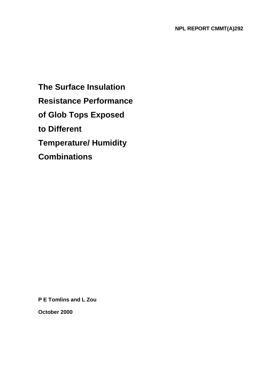**The Surface Insulation Resistance Performance of Glob Tops Exposed to Different Temperature/ Humidity Combinations** 

**P E Tomlins and L Zou** 

**October 2000**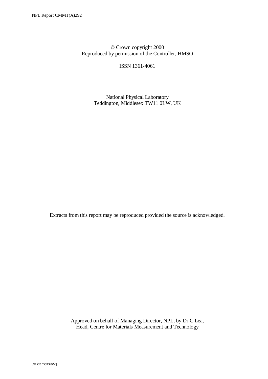© Crown copyright 2000 Reproduced by permission of the Controller, HMSO

ISSN 1361-4061

 National Physical Laboratory Teddington, Middlesex TW11 0LW, UK

Extracts from this report may be reproduced provided the source is acknowledged.

 Approved on behalf of Managing Director, NPL, by Dr C Lea, Head, Centre for Materials Measurement and Technology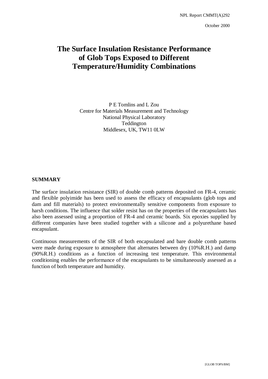# **The Surface Insulation Resistance Performance of Glob Tops Exposed to Different Temperature/Humidity Combinations**

P E Tomlins and L Zou Centre for Materials Measurement and Technology National Physical Laboratory Teddington Middlesex, UK, TW11 0LW

#### **SUMMARY**

The surface insulation resistance (SIR) of double comb patterns deposited on FR-4, ceramic and flexible polyimide has been used to assess the efficacy of encapsulants (glob tops and dam and fill materials) to protect environmentally sensitive components from exposure to harsh conditions. The influence that solder resist has on the properties of the encapsulants has also been assessed using a proportion of FR-4 and ceramic boards. Six epoxies supplied by different companies have been studied together with a silicone and a polyurethane based encapsulant.

Continuous measurements of the SIR of both encapsulated and bare double comb patterns were made during exposure to atmosphere that alternates between dry (10%R.H.) and damp (90%R.H.) conditions as a function of increasing test temperature. This environmental conditioning enables the performance of the encapsulants to be simultaneously assessed as a function of both temperature and humidity.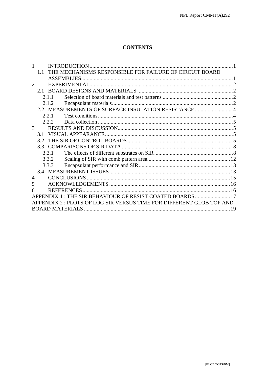# **CONTENTS**

| THE MECHANISMS RESPONSIBLE FOR FAILURE OF CIRCUIT BOARD<br>1.1       |  |
|----------------------------------------------------------------------|--|
| <b>ASSEMBLIES.</b>                                                   |  |
| 2                                                                    |  |
| 2.1                                                                  |  |
| 2.1.1                                                                |  |
| 2.1.2                                                                |  |
| 2.2 MEASUREMENTS OF SURFACE INSULATION RESISTANCE 4                  |  |
| 2.2.1                                                                |  |
| 2.2.2                                                                |  |
| 3                                                                    |  |
| 3.1                                                                  |  |
| 3.2                                                                  |  |
| 3.3                                                                  |  |
| 3.3.1                                                                |  |
| 3.3.2                                                                |  |
| 3.3.3                                                                |  |
|                                                                      |  |
| 4                                                                    |  |
| 5                                                                    |  |
| 6                                                                    |  |
| APPENDIX 1 : THE SIR BEHAVIOUR OF RESIST COATED BOARDS 17            |  |
| APPENDIX 2 : PLOTS OF LOG SIR VERSUS TIME FOR DIFFERENT GLOB TOP AND |  |
| <b>BOARD MATERIALS</b>                                               |  |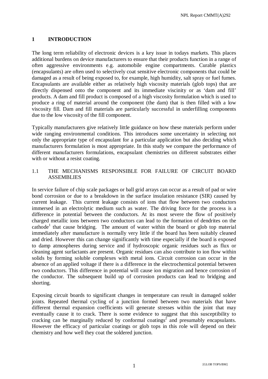# **1 INTRODUCTION**

The long term reliability of electronic devices is a key issue in todays markets. This places additional burdens on device manufacturers to ensure that their products function in a range of often aggressive environments e.g. automobile engine compartments. Curable plastics (encapsulants) are often used to selectively coat sensitive electronic components that could be damaged as a result of being exposed to, for example, high humidity, salt spray or fuel fumes. Encapsulants are available either as relatively high viscosity materials (glob tops) that are directly dispensed onto the component and its immediate viscinity or as 'dam and fill' products. A dam and fill product is composed of a high viscosity formulation which is used to produce a ring of material around the component (the dam) that is then filled with a low viscosity fill. Dam and fill materials are particularly successful in underfilling components due to the low viscosity of the fill component.

Typically manufacturers give relatively little guidance on how these materials perform under wide ranging environmental conditions. This introduces some uncertainty in selecting not only the appropriate type of encapsulant for a particular application but also deciding which manufacturers formulation is most appropriate. In this study we compare the performance of different manufacturers formulations, encapsulant chemistries on different substrates either with or without a resist coating.

# 1.1 THE MECHANISMS RESPONSIBLE FOR FAILURE OF CIRCUIT BOARD ASSEMBLIES

In service failure of chip scale packages or ball grid arrays can occur as a result of pad or wire bond corrosion or due to a breakdown in the surface insulation resistance (SIR) caused by current leakage. This current leakage consists of ions that flow between two conductors immersed in an electrolytic medium such as water. The driving force for the process is a difference in potential between the conductors. At its most severe the flow of positively charged metallic ions between two conductors can lead to the formation of dendrites on the cathode<sup>1</sup> that cause bridging. The amount of water within the board or glob top material immediately after manufacture is normally very little if the board has been suitably cleaned and dried. However this can change significantly with time especially if the board is exposed to damp atmospheres during service and if hydroscopic organic residues such as flux or cleaning agent surfactants are present. Organic residues can also contribute to ion flow within solids by forming soluble complexes with metal ions. Circuit corrosion can occur in the absence of an applied voltage if there is a difference in the electrochemical potential between two conductors. This difference in potential will cause ion migration and hence corrosion of the conductor. The subsequent build up of corrosion products can lead to bridging and shorting.

Exposing circuit boards to significant changes in temperature can result in damaged solder joints. Repeated thermal cycling of a junction formed between two materials that have different thermal expansion coefficients will generate stresses within the joint that may eventually cause it to crack. There is some evidence to suggest that this susceptibility to cracking can be marginally reduced by conformal coatings<sup>2</sup> and presumably encapsulants. However the efficacy of particular coatings or glob tops in this role will depend on their chemistry and how well they coat the soldered junction.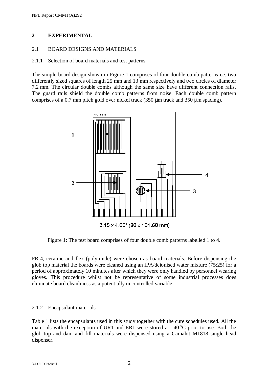# **2 EXPERIMENTAL**

# 2.1 BOARD DESIGNS AND MATERIALS

# 2.1.1 Selection of board materials and test patterns

The simple board design shown in Figure 1 comprises of four double comb patterns i.e. two differently sized squares of length 25 mm and 13 mm respectively and two circles of diameter 7.2 mm. The circular double combs although the same size have different connection rails. The guard rails shield the double comb patterns from noise. Each double comb pattern comprises of a 0.7 mm pitch gold over nickel track (350 µm track and 350 µm spacing).



Figure 1: The test board comprises of four double comb patterns labelled 1 to 4.

FR-4, ceramic and flex (polyimide) were chosen as board materials. Before dispensing the glob top material the boards were cleaned using an IPA/deionised water mixture (75:25) for a period of approximately 10 minutes after which they were only handled by personnel wearing gloves. This procedure whilst not be representative of some industrial processes does eliminate board cleanliness as a potentially uncontrolled variable.

# 2.1.2 Encapsulant materials

Table 1 lists the encapsulants used in this study together with the cure schedules used. All the materials with the exception of UR1 and ER1 were stored at  $-40^{\circ}$ C prior to use. Both the glob top and dam and fill materials were dispensed using a Camalot M1818 single head dispenser.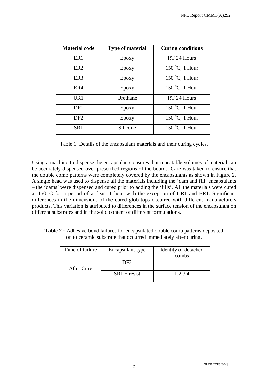| <b>Material code</b> | <b>Type of material</b> | <b>Curing conditions</b>          |
|----------------------|-------------------------|-----------------------------------|
| ER <sub>1</sub>      | Epoxy                   | RT 24 Hours                       |
| ER <sub>2</sub>      | Epoxy                   | $150^{\circ}$ C, 1 Hour           |
| ER <sub>3</sub>      | Epoxy                   | 150 $\mathrm{^{\circ}C}$ , 1 Hour |
| ER4                  | Epoxy                   | 150 $\mathrm{^{\circ}C}$ , 1 Hour |
| UR1                  | <b>U</b> rethane        | RT 24 Hours                       |
| DF1                  | Epoxy                   | $150^{\circ}$ C, 1 Hour           |
| DF <sub>2</sub>      | Epoxy                   | 150 °C, 1 Hour                    |
| SR <sub>1</sub>      | Silicone                | 150 $\degree$ C, 1 Hour           |

Table 1: Details of the encapsulant materials and their curing cycles.

Using a machine to dispense the encapsulants ensures that repeatable volumes of material can be accurately dispensed over prescribed regions of the boards. Care was taken to ensure that the double comb patterns were completely covered by the encapsulants as shown in Figure 2. A single head was used to dispense all the materials including the 'dam and fill' encapsulants – the 'dams' were dispensed and cured prior to adding the 'fills'. All the materials were cured at 150  $^{\circ}$ C for a period of at least 1 hour with the exception of UR1 and ER1. Significant differences in the dimensions of the cured glob tops occurred with different manufacturers products. This variation is attributed to differences in the surface tension of the encapsulant on different substrates and in the solid content of different formulations.

**Table 2 :** Adhesive bond failures for encapsulated double comb patterns deposited on to ceramic substrate that occurred immediately after curing.

| Time of failure | Encapsulant type | Identity of detached |
|-----------------|------------------|----------------------|
|                 |                  | combs                |
| After Cure      | DF2              |                      |
|                 | $SR1 + resist$   | 1,2,3,4              |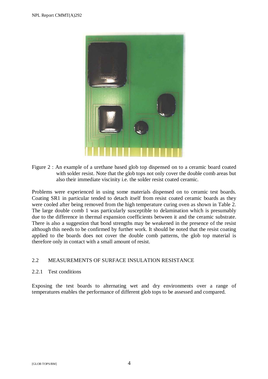

Figure 2 : An example of a urethane based glob top dispensed on to a ceramic board coated with solder resist. Note that the glob tops not only cover the double comb areas but also their immediate viscinity i.e. the solder resist coated ceramic.

Problems were experienced in using some materials dispensed on to ceramic test boards. Coating SR1 in particular tended to detach itself from resist coated ceramic boards as they were cooled after being removed from the high temperature curing oven as shown in Table 2. The large double comb 1 was particularly susceptible to delamination which is presumably due to the difference in thermal expansion coefficients between it and the ceramic substrate. There is also a suggestion that bond strengths may be weakened in the presence of the resist although this needs to be confirmed by further work. It should be noted that the resist coating applied to the boards does not cover the double comb patterns, the glob top material is therefore only in contact with a small amount of resist.

# 2.2 MEASUREMENTS OF SURFACE INSULATION RESISTANCE

## 2.2.1 Test conditions

Exposing the test boards to alternating wet and dry environments over a range of temperatures enables the performance of different glob tops to be assessed and compared.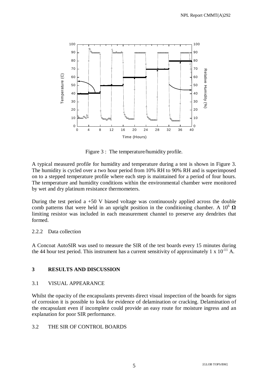

Figure 3 : The temperature/humidity profile.

A typical measured profile for humidity and temperature during a test is shown in Figure 3. The humidity is cycled over a two hour period from 10% RH to 90% RH and is superimposed on to a stepped temperature profile where each step is maintained for a period of four hours. The temperature and humidity conditions within the environmental chamber were monitored by wet and dry platinum resistance thermometers.

During the test period a  $+50$  V biased voltage was continuously applied across the double comb patterns that were held in an upright position in the conditioning chamber. A  $10^6 \Omega$ limiting resistor was included in each measurement channel to preserve any dendrites that formed.

## 2.2.2. Data collection

A Concoat AutoSIR was used to measure the SIR of the test boards every 15 minutes during the 44 hour test period. This instrument has a current sensitivity of approximately 1 x  $10^{-11}$  A.

# **3 RESULTS AND DISCUSSION**

## 3.1 VISUAL APPEARANCE

Whilst the opacity of the encapsulants prevents direct visual inspection of the boards for signs of corrosion it is possible to look for evidence of delamination or cracking. Delamination of the encapsulant even if incomplete could provide an easy route for moisture ingress and an explanation for poor SIR performance.

## 3.2 THE SIR OF CONTROL BOARDS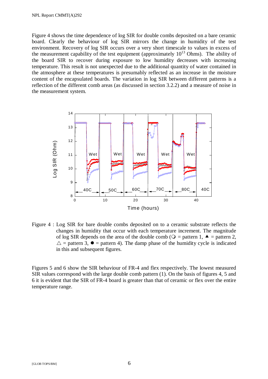Figure 4 shows the time dependence of log SIR for double combs deposited on a bare ceramic board. Clearly the behaviour of log SIR mirrors the change in humidity of the test environment. Recovery of log SIR occurs over a very short timescale to values in excess of the measurement capability of the test equipment (approximately  $10^{13}$  Ohms). The ability of the board SIR to recover during exposure to low humidity decreases with increasing temperature. This result is not unexpected due to the additional quantity of water contained in the atmosphere at these temperatures is presumably reflected as an increase in the moisture content of the encapsulated boards. The variation in log SIR between different patterns is a reflection of the different comb areas (as discussed in section 3.2.2) and a measure of noise in the measurement system.



Figure 4 : Log SIR for bare double combs deposited on to a ceramic substrate reflects the changes in humidity that occur with each temperature increment. The magnitude of log SIR depends on the area of the double comb ( $Q =$  pattern 1,  $\blacktriangle$  = pattern 2,  $\triangle$  = pattern 3,  $\bullet$  = pattern 4). The damp phase of the humidity cycle is indicated in this and subsequent figures.

Figures 5 and 6 show the SIR behaviour of FR-4 and flex respectively. The lowest measured SIR values correspond with the large double comb pattern (1). On the basis of figures 4, 5 and 6 it is evident that the SIR of FR-4 board is greater than that of ceramic or flex over the entire temperature range.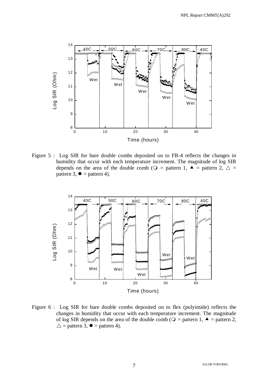

Figure 5 : Log SIR for bare double combs deposited on to FR-4 reflects the changes in humidity that occur with each temperature increment. The magnitude of log SIR depends on the area of the double comb ( $Q =$  pattern 1,  $\blacktriangle$  = pattern 2,  $\triangle$  = pattern 3,  $\bullet$  = pattern 4).

![](_page_12_Figure_3.jpeg)

Figure 6 : Log SIR for bare double combs deposited on to flex (polyimide) reflects the changes in humidity that occur with each temperature increment. The magnitude of log SIR depends on the area of the double comb ( $Q =$  pattern 1,  $\blacktriangle$  = pattern 2,  $\triangle$  = pattern 3,  $\bullet$  = pattern 4).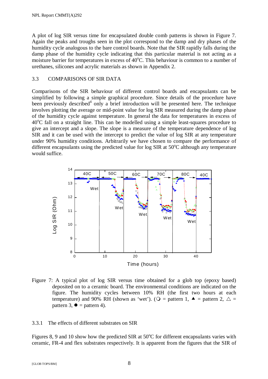A plot of log SIR versus time for encapsulated double comb patterns is shown in Figure 7. Again the peaks and troughs seen in the plot correspond to the damp and dry phases of the humidity cycle analogous to the bare control boards. Note that the SIR rapidly falls during the damp phase of the humidity cycle indicating that this particular material is not acting as a moisture barrier for temperatures in excess of 40°C. This behaviour is common to a number of urethanes, silicones and acrylic materials as shown in Appendix 2.

# 3.3 COMPARISONS OF SIR DATA

Comparisons of the SIR behaviour of different control boards and encapsulants can be simplified by following a simple graphical procedure. Since details of the procedure have been previously described<sup>4</sup> only a brief introduction will be presented here. The technique involves plotting the average or mid-point value for log SIR measured during the damp phase of the humidity cycle against temperature. In general the data for temperatures in excess of 40°C fall on a straight line. This can be modelled using a simple least-squares procedure to give an intercept and a slope. The slope is a measure of the temperature dependence of log SIR and it can be used with the intercept to predict the value of log SIR at any temperature under 90% humidity conditions. Arbitrarily we have chosen to compare the performance of different encapsulants using the predicted value for log SIR at 50°C although any temperature would suffice.

![](_page_13_Figure_4.jpeg)

Figure 7: A typical plot of log SIR versus time obtained for a glob top (epoxy based) deposited on to a ceramic board. The environmental conditions are indicated on the figure. The humidity cycles between 10% RH (the first two hours at each temperature) and 90% RH (shown as 'wet'). ( $Q =$  pattern 1,  $\blacktriangle$  = pattern 2,  $\triangle$  = pattern 3,  $\bullet$  = pattern 4).

## 3.3.1 The effects of different substrates on SIR

Figures 8, 9 and 10 show how the predicted SIR at 50°C for different encapsulants varies with ceramic, FR-4 and flex substrates respectively. It is apparent from the figures that the SIR of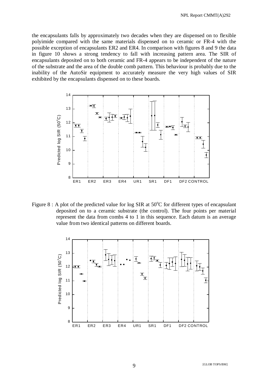the encapsulants falls by approximately two decades when they are dispensed on to flexible polyimide compared with the same materials dispensed on to ceramic or FR-4 with the possible exception of encapsulants ER2 and ER4. In comparison with figures 8 and 9 the data in figure 10 shows a strong tendency to fall with increasing pattern area. The SIR of encapsulants deposited on to both ceramic and FR-4 appears to be independent of the nature of the substrate and the area of the double comb pattern. This behaviour is probably due to the inability of the AutoSir equipment to accurately measure the very high values of SIR exhibited by the encapsulants dispensed on to these boards.

![](_page_14_Figure_2.jpeg)

Figure  $8: A$  plot of the predicted value for log SIR at  $50^{\circ}$ C for different types of encapsulant deposited on to a ceramic substrate (the control). The four points per material represent the data from combs 4 to 1 in this sequence. Each datum is an average value from two identical patterns on different boards.

![](_page_14_Figure_4.jpeg)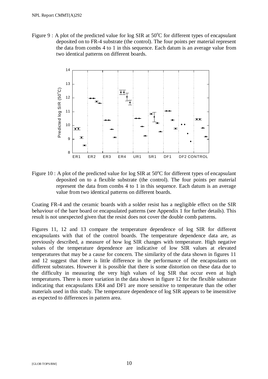Figure 9 : A plot of the predicted value for log SIR at  $50^{\circ}$ C for different types of encapsulant deposited on to FR-4 substrate (the control). The four points per material represent the data from combs 4 to 1 in this sequence. Each datum is an average value from two identical patterns on different boards.

![](_page_15_Figure_2.jpeg)

Figure 10 : A plot of the predicted value for log SIR at  $50^{\circ}$ C for different types of encapsulant deposited on to a flexible substrate (the control). The four points per material represent the data from combs 4 to 1 in this sequence. Each datum is an average value from two identical patterns on different boards.

Coating FR-4 and the ceramic boards with a solder resist has a negligible effect on the SIR behaviour of the bare board or encapsulated patterns (see Appendix 1 for further details). This result is not unexpected given that the resist does not cover the double comb patterns.

Figures 11, 12 and 13 compare the temperature dependence of log SIR for different encapsulants with that of the control boards. The temperature dependence data are, as previously described, a measure of how log SIR changes with temperature. High negative values of the temperature dependence are indicative of low SIR values at elevated temperatures that may be a cause for concern. The similarity of the data shown in figures 11 and 12 suggest that there is little difference in the performance of the encapsulants on different substrates. However it is possible that there is some distortion on these data due to the difficulty in measuring the very high values of log SIR that occur even at high temperatures. There is more variation in the data shown in figure 12 for the flexible substrate indicating that encapsulants ER4 and DF1 are more sensitive to temperature than the other materials used in this study. The temperature dependence of log SIR appears to be insensitive as expected to differences in pattern area.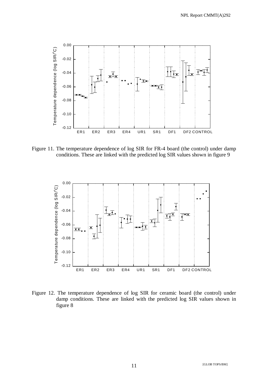![](_page_16_Figure_1.jpeg)

Figure 11. The temperature dependence of log SIR for FR-4 board (the control) under damp conditions. These are linked with the predicted log SIR values shown in figure 9

![](_page_16_Figure_3.jpeg)

Figure 12. The temperature dependence of log SIR for ceramic board (the control) under damp conditions. These are linked with the predicted log SIR values shown in figure 8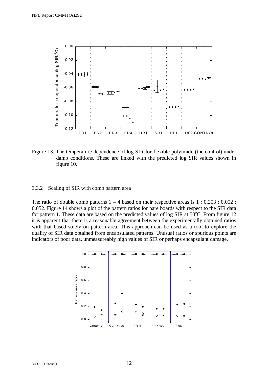![](_page_17_Figure_1.jpeg)

Figure 13. The temperature dependence of log SIR for flexible polyimide (the control) under damp conditions. These are linked with the predicted log SIR values shown in figure 10.

#### 3.3.2 Scaling of SIR with comb pattern area

The ratio of double comb patterns  $1 - 4$  based on their respective areas is  $1 : 0.253 : 0.052$ : 0.052. Figure 14 shows a plot of the pattern ratios for bare boards with respect to the SIR data for pattern 1. These data are based on the predicted values of log SIR at  $50^{\circ}$ C. From figure 12 it is apparent that there is a reasonable agreement between the experimentally obtained ratios with that based solely on pattern area. This approach can be used as a tool to explore the quality of SIR data obtained from encapsulated patterns. Unusual ratios or spurious points are indicators of poor data, unmeasureably high values of SIR or perhaps encapsulant damage.

![](_page_17_Figure_5.jpeg)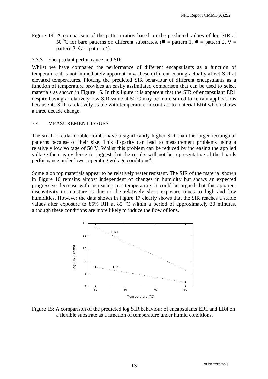Figure 14: A comparison of the pattern ratios based on the predicted values of log SIR at 50 °C for bare patterns on different substrates. ( $\blacksquare$  = pattern 1,  $\blacklozenge$  = pattern 2,  $\nabla$  = pattern 3,  $\bigcirc$  = pattern 4) pattern 3,  $Q =$  pattern 4).

3.3.3 Encapsulant performance and SIR

Whilst we have compared the performance of different encapsulants as a function of temperature it is not immediately apparent how these different coating actually affect SIR at elevated temperatures. Plotting the predicted SIR behaviour of different encapsulants as a function of temperature provides an easily assimilated comparison that can be used to select materials as shown in Figure 15. In this figure it is apparent that the SIR of encapsulant ER1 despite having a relatively low SIR value at  $50^{\circ}$ C may be more suited to certain applications because its SIR is relatively stable with temperature in contrast to material ER4 which shows a three decade change.

## 3.4 MEASUREMENT ISSUES

The small circular double combs have a significantly higher SIR than the larger rectangular patterns because of their size. This disparity can lead to measurement problems using a relatively low voltage of 50 V. Whilst this problem can be reduced by increasing the applied voltage there is evidence to suggest that the results will not be representative of the boards performance under lower operating voltage conditions<sup>3</sup>.

Some glob top materials appear to be relatively water resistant. The SIR of the material shown in Figure 16 remains almost independent of changes in humidity but shows an expected progressive decrease with increasing test temperature. It could be argued that this apparent insensitivity to moisture is due to the relatively short exposure times to high and low humidities. However the data shown in Figure 17 clearly shows that the SIR reaches a stable values after exposure to 85% RH at 85  $\degree$ C within a period of approximately 30 minutes, although these conditions are more likely to induce the flow of ions.

![](_page_18_Figure_7.jpeg)

Figure 15: A comparison of the predicted log SIR behaviour of encapsulants ER1 and ER4 on a flexible substrate as a function of temperature under humid conditions.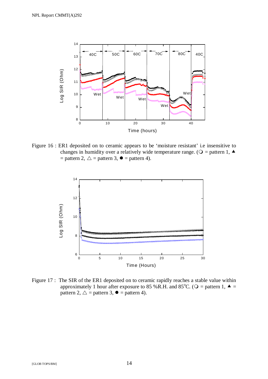![](_page_19_Figure_1.jpeg)

Figure 16 : ER1 deposited on to ceramic appears to be 'moisture resistant' i.e insensitive to changes in humidity over a relatively wide temperature range. ( $Q =$  pattern 1,  $\triangle$  $=$  pattern 2,  $\triangle$  = pattern 3,  $\bullet$  = pattern 4).

![](_page_19_Figure_3.jpeg)

Figure 17 : The SIR of the ER1 deposited on to ceramic rapidly reaches a stable value within approximately 1 hour after exposure to 85 %R.H. and 85<sup>o</sup>C. ( $Q =$  pattern 1,  $\blacktriangle =$  pattern 2,  $\land$  = pattern 3,  $\blacktriangleright$  = pattern 4) pattern 2,  $\triangle$  = pattern 3,  $\bullet$  = pattern 4).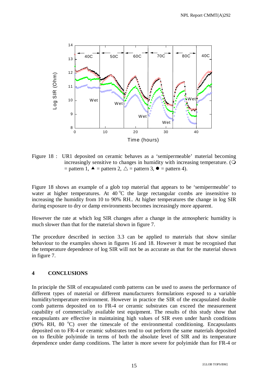![](_page_20_Figure_1.jpeg)

Figure 18 : UR1 deposited on ceramic behaves as a 'semipermeable' material becoming increasingly sensitive to changes in humidity with increasing temperature. ( = pattern 1,  $\blacktriangle$  = pattern 2,  $\triangle$  = pattern 3,  $\blacktriangleright$  = pattern 4).

Figure 18 shows an example of a glob top material that appears to be 'semipermeable' to water at higher temperatures. At  $40\,^{\circ}\text{C}$  the large rectangular combs are insensitive to increasing the humidity from 10 to 90% RH.. At higher temperatures the change in log SIR during exposure to dry or damp environments becomes increasingly more apparent.

However the rate at which log SIR changes after a change in the atmospheric humidity is much slower than that for the material shown in figure 7.

The procedure described in section 3.3 can be applied to materials that show similar behaviour to the examples shown in figures 16 and 18. However it must be recognised that the temperature dependence of log SIR will not be as accurate as that for the material shown in figure 7.

# **4 CONCLUSIONS**

In principle the SIR of encapsulated comb patterns can be used to assess the performance of different types of material or different manufacturers formulations exposed to a variable humidity/temperature environment. However in practice the SIR of the encapsulated double comb patterns deposited on to FR-4 or ceramic substrates can exceed the measurement capability of commercially available test equipment. The results of this study show that encapsulants are effective in maintaining high values of SIR even under harsh conditions (90% RH, 80 °C) over the timescale of the environmental conditioning. Encapsulants deposited on to FR-4 or ceramic substrates tend to out perform the same materials deposited on to flexible polyimide in terms of both the absolute level of SIR and its temperature dependence under damp conditions. The latter is more severe for polyimide than for FR-4 or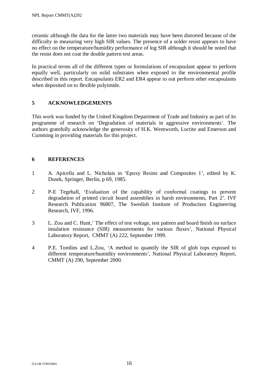ceramic although the data for the latter two materials may have been distorted because of the difficulty in measuring very high SIR values. The presence of a solder resist appears to have no effect on the temperature/humidity performance of log SIR although it should be noted that the resist does not coat the double pattern test areas.

In practical terms all of the different types or formulations of encapsulant appear to perform equally well, particularly on solid substrates when exposed to the environmental profile described in this report. Encapsulants ER2 and ER4 appear to out perform other encapsulants when deposited on to flexible polyimide.

# **5 ACKNOWLEDGEMENTS**

This work was funded by the United Kingdom Department of Trade and Industry as part of its programme of research on 'Degradation of materials in aggressive environments'. The authors gratefully acknowledge the generosity of H.K. Wentworth, Loctite and Emerson and Cumming in providing materials for this project.

## **6 REFERENCES**

- 1 A. Apicella and L. Nicholais in 'Epoxy Resins and Composites 1', edited by K. Dusek, Springer, Berlin, p 69, 1985.
- 2 P-E Tegehall, 'Evaluation of the capability of conformal coatings to prevent degradation of printed circuit board assemblies in harsh environments, Part 2'. IVF Research Publication 96807, The Swedish Institute of Production Engineering Research, IVF, 1996.
- 3 L. Zou and C. Hunt,' The effect of test voltage, test pattern and board finish on surface insulation resistance (SIR) measurements for various fluxes', National Physical Laboratory Report, CMMT (A) 222, September 1999.
- 4 P.E. Tomlins and L.Zou, 'A method to quantify the SIR of glob tops exposed to different temperature/humidity environments', National Physical Laboratory Report, CMMT (A) 290, September 2000.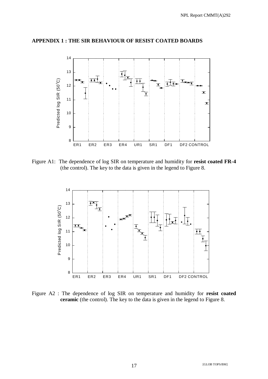![](_page_22_Figure_1.jpeg)

#### **APPENDIX 1 : THE SIR BEHAVIOUR OF RESIST COATED BOARDS**

Figure A1: The dependence of log SIR on temperature and humidity for **resist coated FR-4** (the control). The key to the data is given in the legend to Figure 8.

![](_page_22_Figure_4.jpeg)

Figure A2 : The dependence of log SIR on temperature and humidity for **resist coated ceramic** (the control). The key to the data is given in the legend to Figure 8.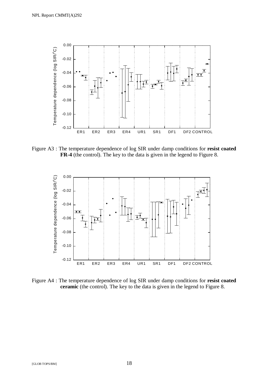![](_page_23_Figure_1.jpeg)

Figure A3 : The temperature dependence of log SIR under damp conditions for **resist coated FR-4** (the control). The key to the data is given in the legend to Figure 8.

![](_page_23_Figure_3.jpeg)

Figure A4 : The temperature dependence of log SIR under damp conditions for **resist coated ceramic** (the control). The key to the data is given in the legend to Figure 8.